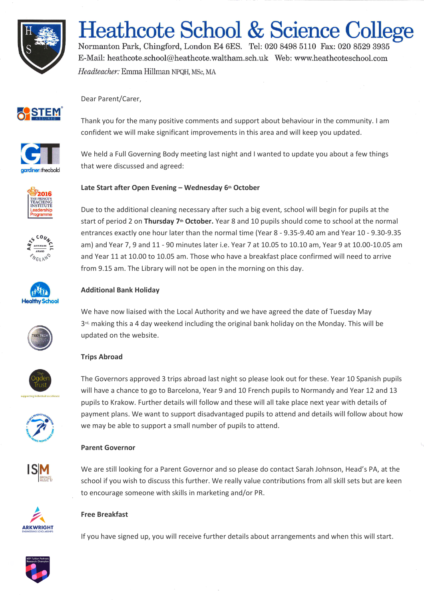

# **Heathcote School & Science College**

Normanton Park, Chingford, London E4 6ES. Tel: 020 8498 5110 Fax: 020 8529 3935 E-Mail: heathcote.school@heathcote.waltham.sch.uk Web: www.heathcoteschool.com Headteacher: Emma Hillman NPQH, MSc, MA



Dear Parent/Carer,



Thank you for the many positive comments and support about behaviour in the community. I am confident we will make significant improvements in this area and will keep you updated.

We held a Full Governing Body meeting last night and I wanted to update you about a few things that were discussed and agreed:



# **Late Start after Open Evening – Wednesday 6th October**



Due to the additional cleaning necessary after such a big event, school will begin for pupils at the start of period 2 on **Thursday 7th October.** Year 8 and 10 pupils should come to school at the normal entrances exactly one hour later than the normal time (Year 8 - 9.35-9.40 am and Year 10 - 9.30-9.35 am) and Year 7, 9 and 11 - 90 minutes later i.e. Year 7 at 10.05 to 10.10 am, Year 9 at 10.00-10.05 am and Year 11 at 10.00 to 10.05 am. Those who have a breakfast place confirmed will need to arrive from 9.15 am. The Library will not be open in the morning on this day.



# **Additional Bank Holiday**

We have now liaised with the Local Authority and we have agreed the date of Tuesday May 3<sup>rd,</sup> making this a 4 day weekend including the original bank holiday on the Monday. This will be updated on the website.

# **Trips Abroad**



The Governors approved 3 trips abroad last night so please look out for these. Year 10 Spanish pupils will have a chance to go to Barcelona, Year 9 and 10 French pupils to Normandy and Year 12 and 13 pupils to Krakow. Further details will follow and these will all take place next year with details of payment plans. We want to support disadvantaged pupils to attend and details will follow about how we may be able to support a small number of pupils to attend.

# **Parent Governor**



We are still looking for a Parent Governor and so please do contact Sarah Johnson, Head's PA, at the school if you wish to discuss this further. We really value contributions from all skill sets but are keen to encourage someone with skills in marketing and/or PR.



# **Free Breakfast**

If you have signed up, you will receive further details about arrangements and when this will start.